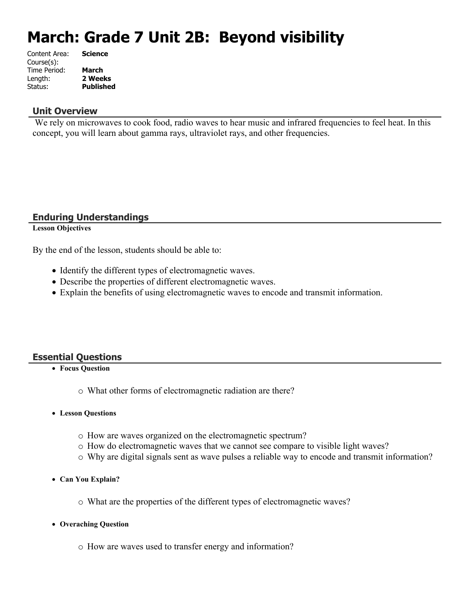# **March: Grade 7 Unit 2B: Beyond visibility**

| Content Area: | <b>Science</b>   |
|---------------|------------------|
| Course(s):    |                  |
| Time Period:  | <b>March</b>     |
| Length:       | 2 Weeks          |
| Status:       | <b>Published</b> |
|               |                  |

#### **Unit Overview**

We rely on microwaves to cook food, radio waves to hear music and infrared frequencies to feel heat. In this concept, you will learn about gamma rays, ultraviolet rays, and other frequencies.

#### **Enduring Understandings**

#### **Lesson Objectives**

By the end of the lesson, students should be able to:

- Identify the different types of electromagnetic waves.
- Describe the properties of different electromagnetic waves.
- Explain the benefits of using electromagnetic waves to encode and transmit information.

#### **Essential Questions**

**Focus Question**

o What other forms of electromagnetic radiation are there?

- **Lesson Questions**
	- o How are waves organized on the electromagnetic spectrum?
	- o How do electromagnetic waves that we cannot see compare to visible light waves?
	- o Why are digital signals sent as wave pulses a reliable way to encode and transmit information?
- **Can You Explain?**
	- o What are the properties of the different types of electromagnetic waves?
- **Overaching Question**
	- o How are waves used to transfer energy and information?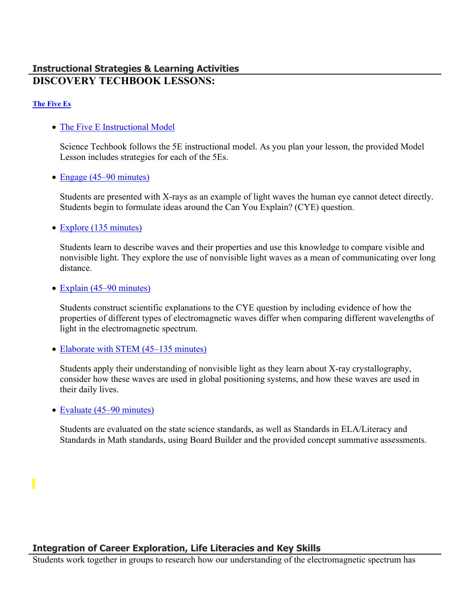# **Instructional Strategies & Learning Activities DISCOVERY TECHBOOK LESSONS:**

#### **[The Five Es](https://app.discoveryeducation.com/learn/techbook/units/0eb7a0d2-f81f-4021-a6a6-10cacdb31920/concepts/912a28c3-9599-4f28-8b7a-9dfd13ab17c7/lesson/sections/bece773c-019d-4cae-9d70-5df37ff9e1d4)**

• [The Five E Instructional Model](https://app.discoveryeducation.com/learn/techbook/units/0eb7a0d2-f81f-4021-a6a6-10cacdb31920/concepts/912a28c3-9599-4f28-8b7a-9dfd13ab17c7/lesson/sections/bece773c-019d-4cae-9d70-5df37ff9e1d4#66180d73-669a-43c2-a41f-586214f96872)

Science Techbook follows the 5E instructional model. As you plan your lesson, the provided Model Lesson includes strategies for each of the 5Es.

• [Engage \(45–90 minutes\)](https://app.discoveryeducation.com/learn/techbook/units/0eb7a0d2-f81f-4021-a6a6-10cacdb31920/concepts/912a28c3-9599-4f28-8b7a-9dfd13ab17c7/lesson/sections/bece773c-019d-4cae-9d70-5df37ff9e1d4#bf236780-7038-4200-b912-41641b858ecb)

Students are presented with X-rays as an example of light waves the human eye cannot detect directly. Students begin to formulate ideas around the Can You Explain? (CYE) question.

• [Explore \(135 minutes\)](https://app.discoveryeducation.com/learn/techbook/units/0eb7a0d2-f81f-4021-a6a6-10cacdb31920/concepts/912a28c3-9599-4f28-8b7a-9dfd13ab17c7/lesson/sections/bece773c-019d-4cae-9d70-5df37ff9e1d4#6c5bd186-db92-4fa3-b483-43fec11ef8ec)

Students learn to describe waves and their properties and use this knowledge to compare visible and nonvisible light. They explore the use of nonvisible light waves as a mean of communicating over long distance.

• [Explain \(45–90 minutes\)](https://app.discoveryeducation.com/learn/techbook/units/0eb7a0d2-f81f-4021-a6a6-10cacdb31920/concepts/912a28c3-9599-4f28-8b7a-9dfd13ab17c7/lesson/sections/bece773c-019d-4cae-9d70-5df37ff9e1d4#f27f5c0f-789f-40a3-9861-82384fa45324)

Students construct scientific explanations to the CYE question by including evidence of how the properties of different types of electromagnetic waves differ when comparing different wavelengths of light in the electromagnetic spectrum.

• [Elaborate with STEM \(45–135 minutes\)](https://app.discoveryeducation.com/learn/techbook/units/0eb7a0d2-f81f-4021-a6a6-10cacdb31920/concepts/912a28c3-9599-4f28-8b7a-9dfd13ab17c7/lesson/sections/bece773c-019d-4cae-9d70-5df37ff9e1d4#cfa589a1-3d9c-4567-85e0-e569b99136fe)

Students apply their understanding of nonvisible light as they learn about X-ray crystallography, consider how these waves are used in global positioning systems, and how these waves are used in their daily lives.

• [Evaluate \(45–90 minutes\)](https://app.discoveryeducation.com/learn/techbook/units/0eb7a0d2-f81f-4021-a6a6-10cacdb31920/concepts/912a28c3-9599-4f28-8b7a-9dfd13ab17c7/lesson/sections/bece773c-019d-4cae-9d70-5df37ff9e1d4#b588b0cb-eab1-47fb-ae8c-a4d2151a934f)

Students are evaluated on the state science standards, as well as Standards in ELA/Literacy and Standards in Math standards, using Board Builder and the provided concept summative assessments.

### **Integration of Career Exploration, Life Literacies and Key Skills**

Students work together in groups to research how our understanding of the electromagnetic spectrum has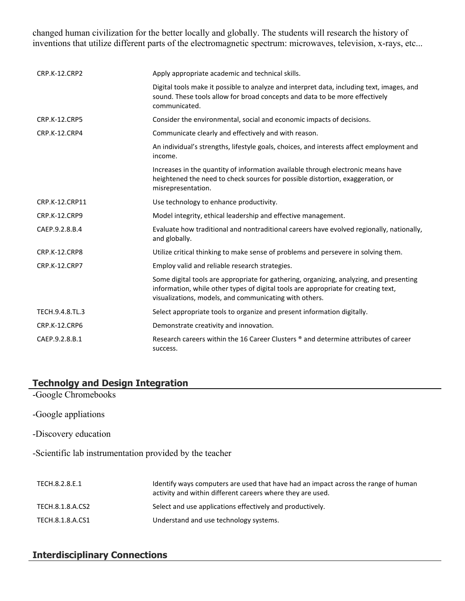changed human civilization for the better locally and globally. The students will research the history of inventions that utilize different parts of the electromagnetic spectrum: microwaves, television, x-rays, etc...

| <b>CRP.K-12.CRP2</b> | Apply appropriate academic and technical skills.                                                                                                                                                                                        |
|----------------------|-----------------------------------------------------------------------------------------------------------------------------------------------------------------------------------------------------------------------------------------|
|                      | Digital tools make it possible to analyze and interpret data, including text, images, and<br>sound. These tools allow for broad concepts and data to be more effectively<br>communicated.                                               |
| <b>CRP.K-12.CRP5</b> | Consider the environmental, social and economic impacts of decisions.                                                                                                                                                                   |
| CRP.K-12.CRP4        | Communicate clearly and effectively and with reason.                                                                                                                                                                                    |
|                      | An individual's strengths, lifestyle goals, choices, and interests affect employment and<br>income.                                                                                                                                     |
|                      | Increases in the quantity of information available through electronic means have<br>heightened the need to check sources for possible distortion, exaggeration, or<br>misrepresentation.                                                |
| CRP.K-12.CRP11       | Use technology to enhance productivity.                                                                                                                                                                                                 |
| CRP.K-12.CRP9        | Model integrity, ethical leadership and effective management.                                                                                                                                                                           |
| CAEP.9.2.8.B.4       | Evaluate how traditional and nontraditional careers have evolved regionally, nationally,<br>and globally.                                                                                                                               |
| CRP.K-12.CRP8        | Utilize critical thinking to make sense of problems and persevere in solving them.                                                                                                                                                      |
| <b>CRP.K-12.CRP7</b> | Employ valid and reliable research strategies.                                                                                                                                                                                          |
|                      | Some digital tools are appropriate for gathering, organizing, analyzing, and presenting<br>information, while other types of digital tools are appropriate for creating text,<br>visualizations, models, and communicating with others. |
| TECH.9.4.8.TL.3      | Select appropriate tools to organize and present information digitally.                                                                                                                                                                 |
| <b>CRP.K-12.CRP6</b> | Demonstrate creativity and innovation.                                                                                                                                                                                                  |
| CAEP.9.2.8.B.1       | Research careers within the 16 Career Clusters ® and determine attributes of career<br>success.                                                                                                                                         |

# **Technolgy and Design Integration**

- -Google Chromebooks
- -Google appliations
- -Discovery education

-Scientific lab instrumentation provided by the teacher

| TECH.8.2.8.E.1   | Identify ways computers are used that have had an impact across the range of human<br>activity and within different careers where they are used. |
|------------------|--------------------------------------------------------------------------------------------------------------------------------------------------|
| TECH.8.1.8.A.CS2 | Select and use applications effectively and productively.                                                                                        |
| TECH.8.1.8.A.CS1 | Understand and use technology systems.                                                                                                           |

# **Interdisciplinary Connections**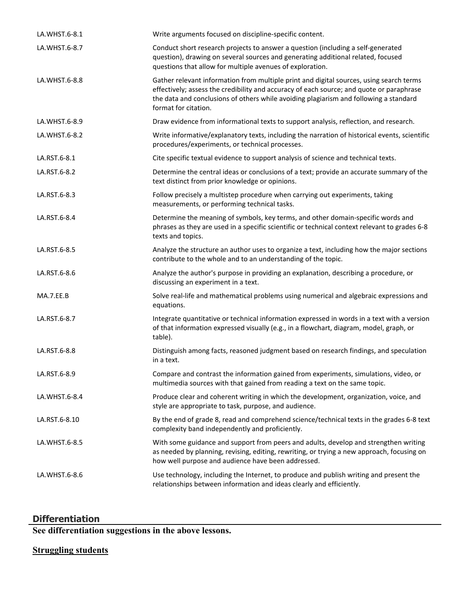| LA.WHST.6-8.1 | Write arguments focused on discipline-specific content.                                                                                                                                                                                                                                              |
|---------------|------------------------------------------------------------------------------------------------------------------------------------------------------------------------------------------------------------------------------------------------------------------------------------------------------|
| LA.WHST.6-8.7 | Conduct short research projects to answer a question (including a self-generated<br>question), drawing on several sources and generating additional related, focused<br>questions that allow for multiple avenues of exploration.                                                                    |
| LA.WHST.6-8.8 | Gather relevant information from multiple print and digital sources, using search terms<br>effectively; assess the credibility and accuracy of each source; and quote or paraphrase<br>the data and conclusions of others while avoiding plagiarism and following a standard<br>format for citation. |
| LA.WHST.6-8.9 | Draw evidence from informational texts to support analysis, reflection, and research.                                                                                                                                                                                                                |
| LA.WHST.6-8.2 | Write informative/explanatory texts, including the narration of historical events, scientific<br>procedures/experiments, or technical processes.                                                                                                                                                     |
| LA.RST.6-8.1  | Cite specific textual evidence to support analysis of science and technical texts.                                                                                                                                                                                                                   |
| LA.RST.6-8.2  | Determine the central ideas or conclusions of a text; provide an accurate summary of the<br>text distinct from prior knowledge or opinions.                                                                                                                                                          |
| LA.RST.6-8.3  | Follow precisely a multistep procedure when carrying out experiments, taking<br>measurements, or performing technical tasks.                                                                                                                                                                         |
| LA.RST.6-8.4  | Determine the meaning of symbols, key terms, and other domain-specific words and<br>phrases as they are used in a specific scientific or technical context relevant to grades 6-8<br>texts and topics.                                                                                               |
| LA.RST.6-8.5  | Analyze the structure an author uses to organize a text, including how the major sections<br>contribute to the whole and to an understanding of the topic.                                                                                                                                           |
| LA.RST.6-8.6  | Analyze the author's purpose in providing an explanation, describing a procedure, or<br>discussing an experiment in a text.                                                                                                                                                                          |
| MA.7.EE.B     | Solve real-life and mathematical problems using numerical and algebraic expressions and<br>equations.                                                                                                                                                                                                |
| LA.RST.6-8.7  | Integrate quantitative or technical information expressed in words in a text with a version<br>of that information expressed visually (e.g., in a flowchart, diagram, model, graph, or<br>table).                                                                                                    |
| LA.RST.6-8.8  | Distinguish among facts, reasoned judgment based on research findings, and speculation<br>in a text.                                                                                                                                                                                                 |
| LA.RST.6-8.9  | Compare and contrast the information gained from experiments, simulations, video, or<br>multimedia sources with that gained from reading a text on the same topic.                                                                                                                                   |
| LA.WHST.6-8.4 | Produce clear and coherent writing in which the development, organization, voice, and<br>style are appropriate to task, purpose, and audience.                                                                                                                                                       |
| LA.RST.6-8.10 | By the end of grade 8, read and comprehend science/technical texts in the grades 6-8 text<br>complexity band independently and proficiently.                                                                                                                                                         |
| LA.WHST.6-8.5 | With some guidance and support from peers and adults, develop and strengthen writing<br>as needed by planning, revising, editing, rewriting, or trying a new approach, focusing on<br>how well purpose and audience have been addressed.                                                             |
| LA.WHST.6-8.6 | Use technology, including the Internet, to produce and publish writing and present the<br>relationships between information and ideas clearly and efficiently.                                                                                                                                       |

#### **Differentiation**

**See differentiation suggestions in the above lessons.** 

# **Struggling students**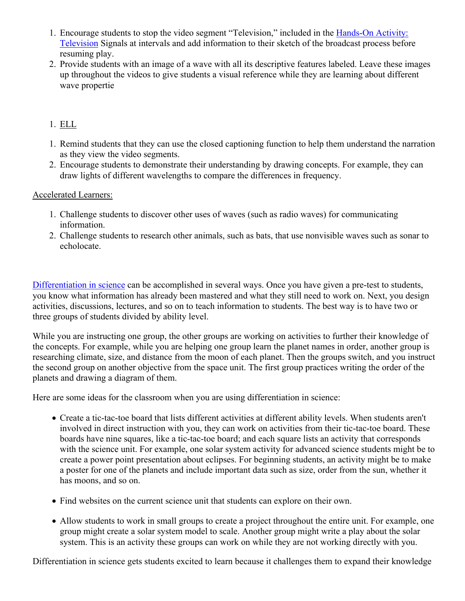- 1. Encourage students to stop the video segment "Television," included in the [Hands-On Activity:](https://app.discoveryeducation.com/player/view/assetGuid/d8c37a51-2f73-4af6-9d0c-6842dfbf0f5c)  [Television](https://app.discoveryeducation.com/player/view/assetGuid/d8c37a51-2f73-4af6-9d0c-6842dfbf0f5c) Signals at intervals and add information to their sketch of the broadcast process before resuming play.
- 2. Provide students with an image of a wave with all its descriptive features labeled. Leave these images up throughout the videos to give students a visual reference while they are learning about different wave propertie

#### 1. ELL

- 1. Remind students that they can use the closed captioning function to help them understand the narration as they view the video segments.
- 2. Encourage students to demonstrate their understanding by drawing concepts. For example, they can draw lights of different wavelengths to compare the differences in frequency.

#### Accelerated Learners:

- 1. Challenge students to discover other uses of waves (such as radio waves) for communicating information.
- 2. Challenge students to research other animals, such as bats, that use nonvisible waves such as sonar to echolocate.

[Differentiation in science](http://www.brighthubeducation.com/teaching-gifted-students/65181-differentiation-techniques-and-activities-in-the-classroom-for-gifted-students/) can be accomplished in several ways. Once you have given a pre-test to students, you know what information has already been mastered and what they still need to work on. Next, you design activities, discussions, lectures, and so on to teach information to students. The best way is to have two or three groups of students divided by ability level.

While you are instructing one group, the other groups are working on activities to further their knowledge of the concepts. For example, while you are helping one group learn the planet names in order, another group is researching climate, size, and distance from the moon of each planet. Then the groups switch, and you instruct the second group on another objective from the space unit. The first group practices writing the order of the planets and drawing a diagram of them.

Here are some ideas for the classroom when you are using differentiation in science:

- Create a tic-tac-toe board that lists different activities at different ability levels. When students aren't involved in direct instruction with you, they can work on activities from their tic-tac-toe board. These boards have nine squares, like a tic-tac-toe board; and each square lists an activity that corresponds with the science unit. For example, one solar system activity for advanced science students might be to create a power point presentation about eclipses. For beginning students, an activity might be to make a poster for one of the planets and include important data such as size, order from the sun, whether it has moons, and so on.
- Find websites on the current science unit that students can explore on their own.
- Allow students to work in small groups to create a project throughout the entire unit. For example, one group might create a solar system model to scale. Another group might write a play about the solar system. This is an activity these groups can work on while they are not working directly with you.

Differentiation in science gets students excited to learn because it challenges them to expand their knowledge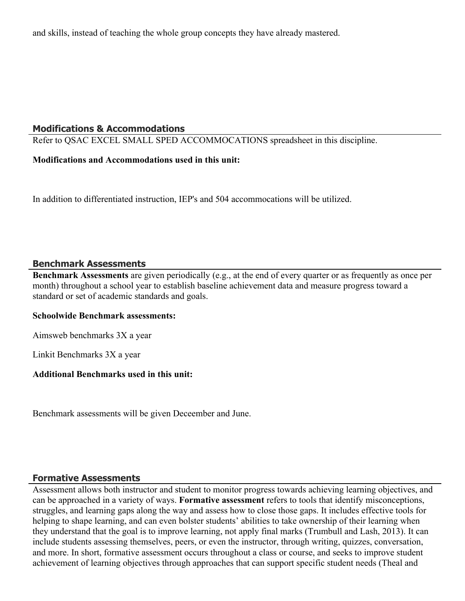and skills, instead of teaching the whole group concepts they have already mastered.

#### **Modifications & Accommodations**

Refer to QSAC EXCEL SMALL SPED ACCOMMOCATIONS spreadsheet in this discipline.

#### **Modifications and Accommodations used in this unit:**

In addition to differentiated instruction, IEP's and 504 accommocations will be utilized.

#### **Benchmark Assessments**

**Benchmark Assessments** are given periodically (e.g., at the end of every quarter or as frequently as once per month) throughout a school year to establish baseline achievement data and measure progress toward a standard or set of academic standards and goals.

#### **Schoolwide Benchmark assessments:**

Aimsweb benchmarks 3X a year

Linkit Benchmarks 3X a year

#### **Additional Benchmarks used in this unit:**

Benchmark assessments will be given Deceember and June.

#### **Formative Assessments**

Assessment allows both instructor and student to monitor progress towards achieving learning objectives, and can be approached in a variety of ways. **Formative assessment** refers to tools that identify misconceptions, struggles, and learning gaps along the way and assess how to close those gaps. It includes effective tools for helping to shape learning, and can even bolster students' abilities to take ownership of their learning when they understand that the goal is to improve learning, not apply final marks (Trumbull and Lash, 2013). It can include students assessing themselves, peers, or even the instructor, through writing, quizzes, conversation, and more. In short, formative assessment occurs throughout a class or course, and seeks to improve student achievement of learning objectives through approaches that can support specific student needs (Theal and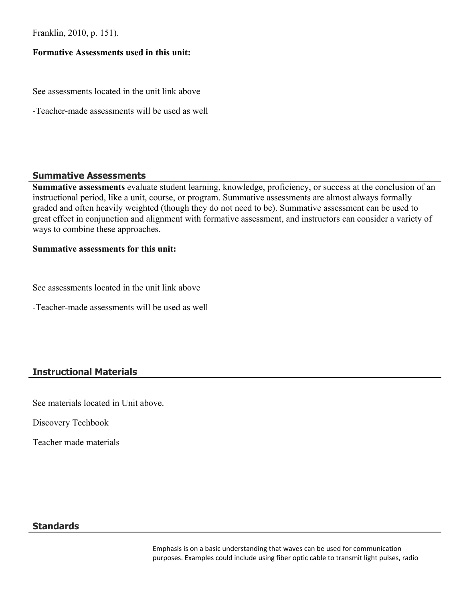Franklin, 2010, p. 151).

#### **Formative Assessments used in this unit:**

See assessments located in the unit link above

-Teacher-made assessments will be used as well

#### **Summative Assessments**

**Summative assessments** evaluate student learning, knowledge, proficiency, or success at the conclusion of an instructional period, like a unit, course, or program. Summative assessments are almost always formally graded and often heavily weighted (though they do not need to be). Summative assessment can be used to great effect in conjunction and alignment with formative assessment, and instructors can consider a variety of ways to combine these approaches.

#### **Summative assessments for this unit:**

See assessments located in the unit link above

-Teacher-made assessments will be used as well

# **Instructional Materials**

See materials located in Unit above.

Discovery Techbook

Teacher made materials

#### **Standards**

Emphasis is on a basic understanding that waves can be used for communication purposes. Examples could include using fiber optic cable to transmit light pulses, radio